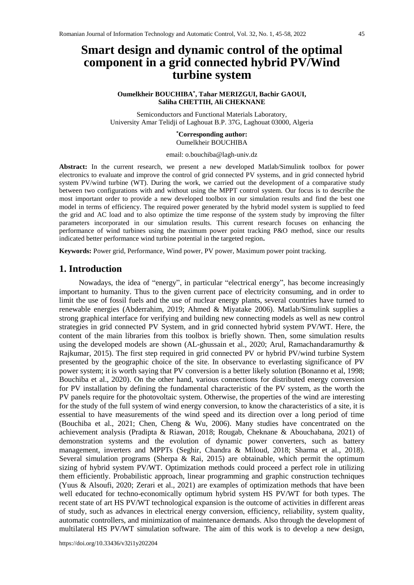# **Smart design and dynamic control of the optimal component in a grid connected hybrid PV/Wind turbine system**

### **Oumelkheir BOUCHIBA\* , Tahar MERIZGUI, Bachir GAOUI, Saliha CHETTIH, Ali CHEKNANE**

Semiconductors and Functional Materials Laboratory, University Amar Telidji of Laghouat B.P. 37G, Laghouat 03000, Algeria

### **\*Corresponding author:**  Oumelkheir BOUCHIBA

email: o.bouchiba@lagh-univ.dz

**Abstract:** In the current research, we present a new developed Matlab/Simulink toolbox for power electronics to evaluate and improve the control of grid connected PV systems, and in grid connected hybrid system PV/wind turbine (WT). During the work, we carried out the development of a comparative study between two configurations with and without using the MPPT control system. Our focus is to describe the most important order to provide a new developed toolbox in our simulation results and find the best one model in terms of efficiency. The required power generated by the hybrid model system is supplied to feed the grid and AC load and to also optimize the time response of the system study by improving the filter parameters incorporated in our simulation results. This current research focuses on enhancing the performance of wind turbines using the maximum power point tracking P&O method, since our results indicated better performance wind turbine potential in the targeted region**.**

**Keywords:** Power grid, Performance, Wind power, PV power, Maximum power point tracking.

### **1. Introduction**

Nowadays, the idea of "energy", in particular "electrical energy", has become increasingly important to humanity. Thus to the given current pace of electricity consuming, and in order to limit the use of fossil fuels and the use of nuclear energy plants, several countries have turned to renewable energies (Abderrahim, 2019; Ahmed & Miyatake 2006). Matlab/Simulink supplies a strong graphical interface for verifying and building new connecting models as well as new control strategies in grid connected PV System, and in grid connected hybrid system PV/WT. Here, the content of the main libraries from this toolbox is briefly shown. Then, some simulation results using the developed models are shown (AL-ghussain et al., 2020; Arul, Ramachandaramurthy & Rajkumar, 2015). The first step required in grid connected PV or hybrid PV/wind turbine System presented by the geographic choice of the site. In observance to everlasting significance of PV power system; it is worth saying that PV conversion is a better likely solution (Bonanno et al, 1998; Bouchiba et al., 2020). On the other hand, various connections for distributed energy conversion for PV installation by defining the fundamental characteristic of the PV system, as the worth the PV panels require for the photovoltaic system. Otherwise, the properties of the wind are interesting for the study of the full system of wind energy conversion, to know the characteristics of a site, it is essential to have measurements of the wind speed and its direction over a long period of time (Bouchiba et al., 2021; Chen, Cheng & Wu, 2006). Many studies have concentrated on the achievement analysis (Pradipta & Riawan, 2018; Rougab, Cheknane & Abouchabana, 2021) of demonstration systems and the evolution of dynamic power converters, such as battery management, inverters and MPPTs (Seghir, Chandra & Miloud, 2018; Sharma et al., 2018). Several simulation programs (Sherpa & Rai, 2015) are obtainable, which permit the optimum sizing of hybrid system PV/WT. Optimization methods could proceed a perfect role in utilizing them efficiently. Probabilistic approach, linear programming and graphic construction techniques (Yuus & Alsoufi, 2020; Zerari et al., 2021) are examples of optimization methods that have been well educated for techno-economically optimum hybrid system HS PV/WT for both types. The recent state of art HS PV/WT technological expansion is the outcome of activities in different areas of study, such as advances in electrical energy conversion, efficiency, reliability, system quality, automatic controllers, and minimization of maintenance demands. Also through the development of multilateral HS PV/WT simulation software. The aim of this work is to develop a new design,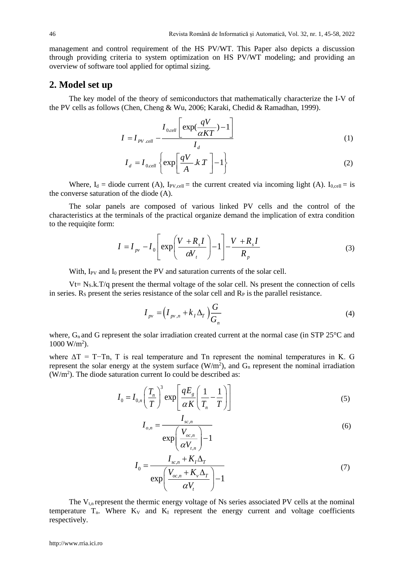management and control requirement of the HS PV/WT. This Paper also depicts a discussion through providing criteria to system optimization on HS PV/WT modeling; and providing an overview of software tool applied for optimal sizing.

## **2. Model set up**

The key model of the theory of semiconductors that mathematically characterize the I-V of the PV cells as follows (Chen, Cheng & Wu, 2006; Karaki, Chedid & Ramadhan, 1999).

$$
I = I_{PV \; cell} - \frac{I_{0,cell} \left[ \exp(\frac{qV}{\alpha KT}) - 1 \right]}{I_d} \tag{1}
$$

$$
I_d = I_{0,cell} \left\{ \exp \left[ \frac{qV}{A} . k T \right] - 1 \right\}
$$
 (2)

Where,  $I_d$  = diode current (A),  $I_{PV,cell}$  = the current created via incoming light (A).  $I_{0,cell}$  = is the converse saturation of the diode (A).

The solar panels are composed of various linked PV cells and the control of the characteristics at the terminals of the practical organize demand the implication of extra condition to the requiqite form:

to the required form:  
\n
$$
I = I_{pv} - I_0 \left[ exp \left( \frac{V + R_s I}{\alpha V_t} \right) - 1 \right] - \frac{V + R_s I}{R_p}
$$
\n(3)

With, I<sub>PV</sub> and I<sub>0</sub> present the PV and saturation currents of the solar cell.

 $Vt= N<sub>S</sub>.k.T/q$  present the thermal voltage of the solar cell. Ns present the connection of cells in series.  $R<sub>S</sub>$  present the series resistance of the solar cell and  $R<sub>P</sub>$  is the parallel resistance.

$$
I_{pv} = \left(I_{pv,n} + k_I \Delta_T\right) \frac{G}{G_n} \tag{4}
$$

where,  $G_n$  and G represent the solar irradiation created current at the normal case (in STP 25 $^{\circ}$ C and 1000 W/m<sup>2</sup> ).

where  $\Delta T = T-Tn$ , T is real temperature and Tn represent the nominal temperatures in K. G represent the solar energy at the system surface  $(W/m^2)$ , and  $G_n$  represent the nominal irradiation  $(W/m<sup>2</sup>)$ . The diode saturation current Io could be described as:

$$
I_0 = I_{0,n} \left(\frac{T_n}{T}\right)^3 \exp\left[\frac{qE_g}{\alpha K} \left(\frac{1}{T_n} - \frac{1}{T}\right)\right]
$$
(5)

$$
I_{o,n} = \frac{I_{sc,n}}{\exp\left(\frac{V_{oc,n}}{\alpha V_{t,n}}\right) - 1}
$$
(6)

$$
I_0 = \frac{I_{sc,n} + K_I \Delta_T}{\exp\left(\frac{V_{oc,n} + K_v \Delta_T}{\alpha V_t}\right) - 1}
$$
(7)

The  $V_{t,n}$  represent the thermic energy voltage of Ns series associated PV cells at the nominal temperature  $T_n$ . Where  $K_V$  and  $K_I$  represent the energy current and voltage coefficients respectively.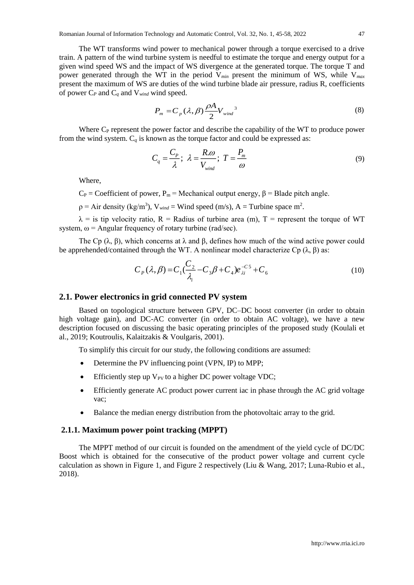The WT transforms wind power to mechanical power through a torque exercised to a drive train. A pattern of the wind turbine system is needful to estimate the torque and energy output for a given wind speed WS and the impact of WS divergence at the generated torque. The torque T and power generated through the WT in the period V*min* present the minimum of WS, while V*max* present the maximum of WS are duties of the wind turbine blade air pressure, radius R, coefficients of power C*<sup>P</sup>* and C*<sup>q</sup>* and V*wind* wind speed.

$$
P_m = C_p(\lambda, \beta) \frac{\rho A}{2} V_{wind}^3 \tag{8}
$$

Where  $C_{P}$  represent the power factor and describe the capability of the WT to produce power from the wind system.  $C_q$  is known as the torque factor and could be expressed as:

$$
C_q = \frac{C_p}{\lambda}; \ \lambda = \frac{R.\omega}{V_{wind}}; \ T = \frac{P_m}{\omega} \tag{9}
$$

Where,

 $C_P$  = Coefficient of power, P<sub>m</sub> = Mechanical output energy,  $\beta$  = Blade pitch angle.

 $p = Air$  density (kg/m<sup>3</sup>),  $V_{wind} = Wind$  speed (m/s), A = Turbine space m<sup>2</sup>.

 $\lambda$  = is tip velocity ratio, R = Radius of turbine area (m), T = represent the torque of WT system,  $\omega$  = Angular frequency of rotary turbine (rad/sec).

The Cp  $(\lambda, \beta)$ , which concerns at  $\lambda$  and  $\beta$ , defines how much of the wind active power could be apprehended/contained through the WT. A nonlinear model characterize Cp (λ, β) as:

$$
C_P(\lambda, \beta) = C_1 \left( \frac{C_2}{\lambda_i} - C_3 \beta + C_4 \right) e_{\lambda i}^{-C_5} + C_6 \tag{10}
$$

### **2.1. Power electronics in grid connected PV system**

Based on topological structure between GPV, DC–DC boost converter (in order to obtain high voltage gain), and DC-AC converter (in order to obtain AC voltage), we have a new description focused on discussing the basic operating principles of the proposed study (Koulali et al., 2019; Koutroulis, Kalaitzakis & Voulgaris, 2001).

To simplify this circuit for our study, the following conditions are assumed:

- Determine the PV influencing point (VPN, IP) to MPP;
- Efficiently step up  $V_{PV}$  to a higher DC power voltage VDC;
- Efficiently generate AC product power current iac in phase through the AC grid voltage vac;
- Balance the median energy distribution from the photovoltaic array to the grid.

### **2.1.1. Maximum power point tracking (MPPT)**

The MPPT method of our circuit is founded on the amendment of the yield cycle of DC/DC Boost which is obtained for the consecutive of the product power voltage and current cycle calculation as shown in Figure 1, and Figure 2 respectively (Liu & Wang, 2017; Luna-Rubio et al., 2018).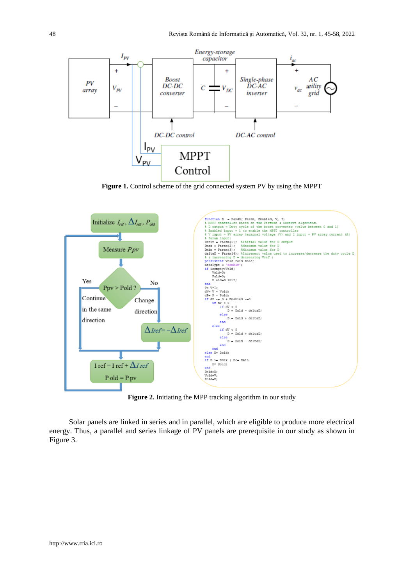

Figure 1. Control scheme of the grid connected system PV by using the MPPT



**Figure 2.** Initiating the MPP tracking algorithm in our study

Solar panels are linked in series and in parallel, which are eligible to produce more electrical energy. Thus, a parallel and series linkage of PV panels are prerequisite in our study as shown in Figure 3.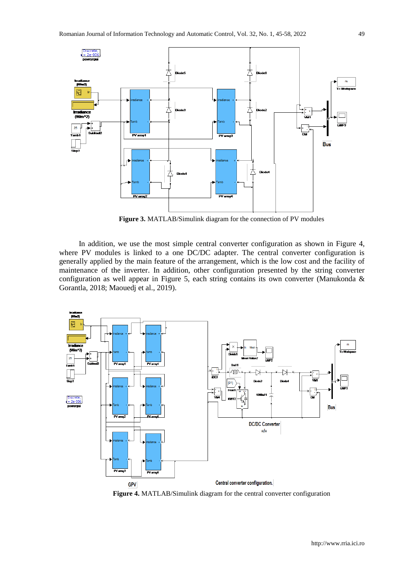

**Figure 3.** MATLAB/Simulink diagram for the connection of PV modules

In addition, we use the most simple central converter configuration as shown in Figure 4, where PV modules is linked to a one DC/DC adapter. The central converter configuration is generally applied by the main feature of the arrangement, which is the low cost and the facility of maintenance of the inverter. In addition, other configuration presented by the string converter configuration as well appear in Figure 5, each string contains its own converter (Manukonda & Gorantla, 2018; Maouedj et al., 2019).



**Figure 4.** MATLAB/Simulink diagram for the central converter configuration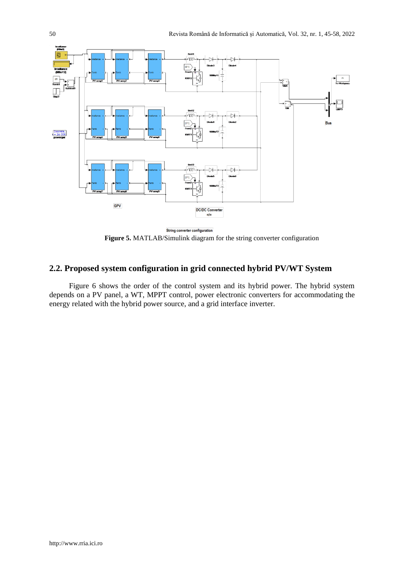

String converter configuration **Figure 5.** MATLAB/Simulink diagram for the string converter configuration

# **2.2. Proposed system configuration in grid connected hybrid PV/WT System**

Figure 6 shows the order of the control system and its hybrid power. The hybrid system depends on a PV panel, a WT, MPPT control, power electronic converters for accommodating the energy related with the hybrid power source, and a grid interface inverter.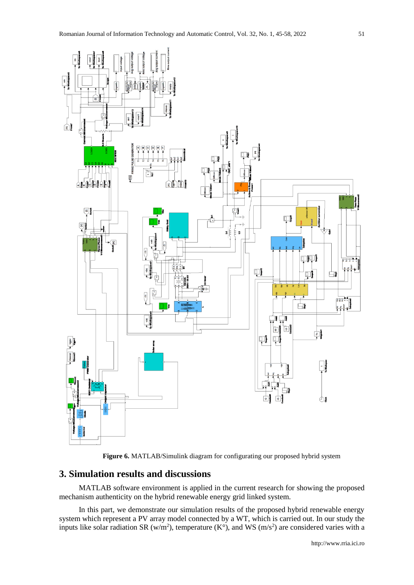



## **3. Simulation results and discussions**

MATLAB software environment is applied in the current research for showing the proposed mechanism authenticity on the hybrid renewable energy grid linked system.

In this part, we demonstrate our simulation results of the proposed hybrid renewable energy system which represent a PV array model connected by a WT, which is carried out. In our study the inputs like solar radiation SR (w/m<sup>2</sup>), temperature (K°), and WS (m/s<sup>2</sup>) are considered varies with a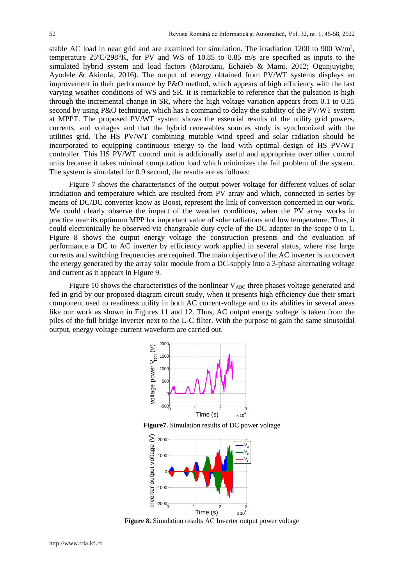stable AC load in near grid and are examined for simulation. The irradiation 1200 to 900 W/m<sup>2</sup>, temperature 25ºC/298°K, for PV and WS of 10.85 to 8.85 m/s are specified as inputs to the simulated hybrid system and load factors (Marouani, Echaieb & Mami, 2012; Ogunjuyigbe, Ayodele & Akinola, 2016). The output of energy obtained from PV/WT systems displays an improvement in their performance by P&O method, which appears of high efficiency with the fast varying weather conditions of WS and SR. It is remarkable to reference that the pulsation is high through the incremental change in SR, where the high voltage variation appears from 0.1 to 0.35 second by using P&O technique, which has a command to delay the stability of the PV/WT system at MPPT. The proposed PV/WT system shows the essential results of the utility grid powers, currents, and voltages and that the hybrid renewables sources study is synchronized with the utilities grid. The HS PV/WT combining mutable wind speed and solar radiation should be incorporated to equipping continuous energy to the load with optimal design of HS PV/WT controller. This HS PV/WT control unit is additionally useful and appropriate over other control units because it takes minimal computation load which minimizes the fail problem of the system. The system is simulated for 0.9 second, the results are as follows:

Figure 7 shows the characteristics of the output power voltage for different values of solar irradiation and temperature which are resulted from PV array and which, connected in series by means of DC/DC converter know as Boost, represent the link of conversion concerned in our work. We could clearly observe the impact of the weather conditions, when the PV array works in practice near its optimum MPP for important value of solar radiations and low temperature. Thus, it could electronically be observed via changeable duty cycle of the DC adapter in the scope 0 to 1. Figure 8 shows the output energy voltage the construction presents and the evaluation of performance a DC to AC inverter by efficiency work applied in several status, where rise large currents and switching frequencies are required. The main objective of the AC inverter is to convert the energy generated by the array solar module from a DC-supply into a 3-phase alternating voltage and current as it appears in Figure 9.

Figure 10 shows the characteristics of the nonlinear  $V_{ABC}$  three phases voltage generated and fed in grid by our proposed diagram circuit study, when it presents high efficiency due their smart component used to readiness utility in both AC current-voltage and to its abilities in several areas like our work as shown in Figures 11 and 12. Thus, AC output energy voltage is taken from the piles of the full bridge inverter next to the L-C filter. With the purpose to gain the same sinusoidal output, energy voltage-current waveform are carried out.



**Figure7.** Simulation results of DC power voltage



**Figure 8.** Simulation results AC Inverter output power voltage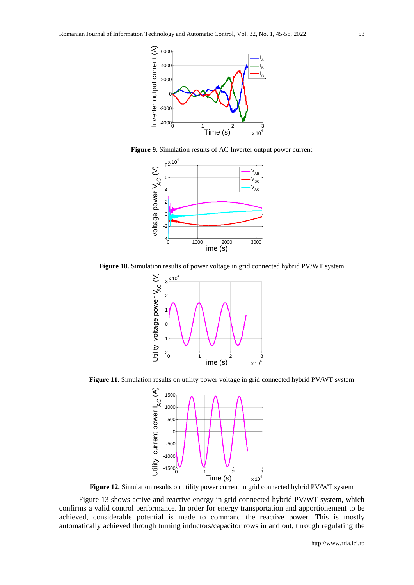

**Figure 9.** Simulation results of AC Inverter output power current



**Figure 10.** Simulation results of power voltage in grid connected hybrid PV/WT system



**Figure 11.** Simulation results on utility power voltage in grid connected hybrid PV/WT system



Figure 12. Simulation results on utility power current in grid connected hybrid PV/WT system

Figure 13 shows active and reactive energy in grid connected hybrid PV/WT system, which confirms a valid control performance. In order for energy transportation and apportionement to be achieved, considerable potential is made to command the reactive power. This is mostly automatically achieved through turning inductors/capacitor rows in and out, through regulating the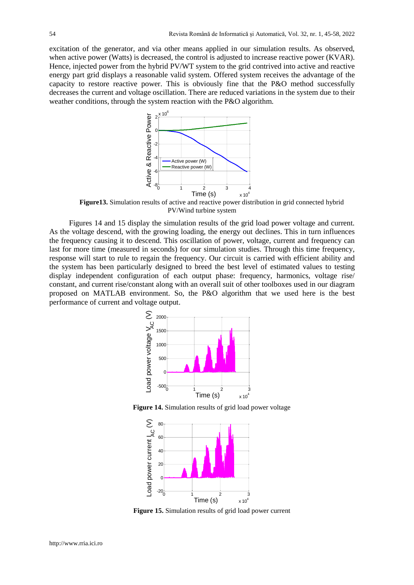excitation of the generator, and via other means applied in our simulation results. As observed, when active power (Watts) is decreased, the control is adjusted to increase reactive power (KVAR). Hence, injected power from the hybrid PV/WT system to the grid contrived into active and reactive energy part grid displays a reasonable valid system. Offered system receives the advantage of the capacity to restore reactive power. This is obviously fine that the P&O method successfully decreases the current and voltage oscillation. There are reduced variations in the system due to their weather conditions, through the system reaction with the P&O algorithm.



**Figure13.** Simulation results of active and reactive power distribution in grid connected hybrid PV/Wind turbine system

Figures 14 and 15 display the simulation results of the grid load power voltage and current. As the voltage descend, with the growing loading, the energy out declines. This in turn influences the frequency causing it to descend. This oscillation of power, voltage, current and frequency can last for more time (measured in seconds) for our simulation studies. Through this time frequency, response will start to rule to regain the frequency. Our circuit is carried with efficient ability and the system has been particularly designed to breed the best level of estimated values to testing display independent configuration of each output phase: frequency, harmonics, voltage rise/ constant, and current rise/constant along with an overall suit of other toolboxes used in our diagram proposed on MATLAB environment. So, the P&O algorithm that we used here is the best performance of current and voltage output.



**Figure 14.** Simulation results of grid load power voltage



**Figure 15.** Simulation results of grid load power current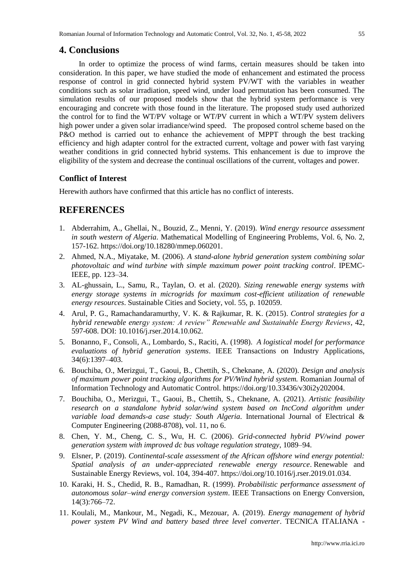### **4. Conclusions**

In order to optimize the process of wind farms, certain measures should be taken into consideration. In this paper, we have studied the mode of enhancement and estimated the process response of control in grid connected hybrid system PV/WT with the variables in weather conditions such as solar irradiation, speed wind, under load permutation has been consumed. The simulation results of our proposed models show that the hybrid system performance is very encouraging and concrete with those found in the literature. The proposed study used authorized the control for to find the WT/PV voltage or WT/PV current in which a WT/PV system delivers high power under a given solar irradiance/wind speed. The proposed control scheme based on the P&O method is carried out to enhance the achievement of MPPT through the best tracking efficiency and high adapter control for the extracted current, voltage and power with fast varying weather conditions in grid connected hybrid systems. This enhancement is due to improve the eligibility of the system and decrease the continual oscillations of the current, voltages and power.

### **Conflict of Interest**

Herewith authors have confirmed that this article has no conflict of interests.

# **REFERENCES**

- 1. Abderrahim, A., Ghellai, N., Bouzid, Z., Menni, Y. (2019). *Wind energy resource assessment in south western of Algeria*. Mathematical Modelling of Engineering Problems, Vol. 6, No. 2, 157-162. https://doi.org/10.18280/mmep.060201.
- 2. Ahmed, N.A., Miyatake, M. (2006). *A stand-alone hybrid generation system combining solar photovoltaic and wind turbine with simple maximum power point tracking control*. IPEMC-IEEE, pp. 123–34.
- 3. AL-ghussain, L., Samu, R., Taylan, O. et al. (2020). *Sizing renewable energy systems with energy storage systems in microgrids for maximum cost-efficient utilization of renewable energy resources*. Sustainable Cities and Society, vol. 55, p. 102059.
- 4. Arul, P. G., Ramachandaramurthy, V. K. & Rajkumar, R. K. (2015). *Control strategies for a hybrid renewable energy system: A review" Renewable and Sustainable Energy Reviews*, 42, 597-608. DOI: 10.1016/j.rser.2014.10.062.
- 5. Bonanno, F., Consoli, A., Lombardo, S., Raciti, A. (1998). *A logistical model for performance evaluations of hybrid generation systems*. IEEE Transactions on Industry Applications, 34(6):1397–403.
- 6. Bouchiba, O., Merizgui, T., Gaoui, B., Chettih, S., Cheknane, A. (2020). *Design and analysis of maximum power point tracking algorithms for PV/Wind hybrid system.* Romanian Journal of Information Technology and Automatic Control. https://doi.org/10.33436/v30i2y202004.
- 7. Bouchiba, O., Merizgui, T., Gaoui, B., Chettih, S., Cheknane, A. (2021). *Artistic feasibility research on a standalone hybrid solar/wind system based on IncCond algorithm under variable load demands-a case study: South Algeria*. International Journal of Electrical & Computer Engineering (2088-8708), vol. 11, no 6.
- 8. Chen, Y. M., Cheng, C. S., Wu, H. C. (2006). *Grid-connected hybrid PV/wind power generation system with improved dc bus voltage regulation strategy*, 1089–94.
- 9. Elsner, P. (2019). *Continental-scale assessment of the African offshore wind energy potential: Spatial analysis of an under-appreciated renewable energy resource*. Renewable and Sustainable Energy Reviews, vol. 104, 394-407. https://doi.org/10.1016/j.rser.2019.01.034.
- 10. Karaki, H. S., Chedid, R. B., Ramadhan, R. (1999). *Probabilistic performance assessment of autonomous solar–wind energy conversion system*. IEEE Transactions on Energy Conversion, 14(3):766–72.
- 11. Koulali, M., Mankour, M., Negadi, K., Mezouar, A. (2019). *Energy management of hybrid power system PV Wind and battery based three level converter*. TECNICA ITALIANA -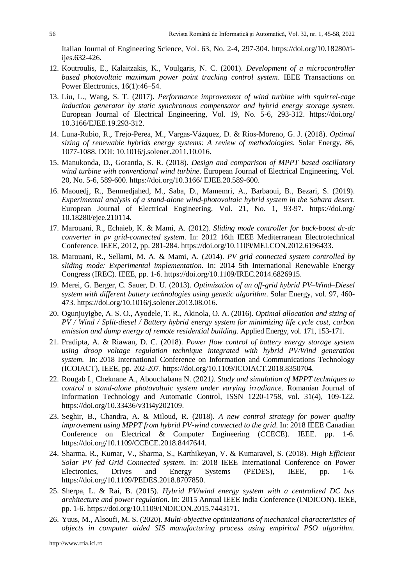Italian Journal of Engineering Science, Vol. 63, No. 2-4, 297-304. https://doi.org/10.18280/tiijes.632-426.

- 12. Koutroulis, E., Kalaitzakis, K., Voulgaris, N. C. (2001). *Development of a microcontroller based photovoltaic maximum power point tracking control system*. IEEE Transactions on Power Electronics, 16(1):46–54.
- 13. Liu, L., Wang, S. T. (2017). *Performance improvement of wind turbine with squirrel-cage induction generator by static synchronous compensator and hybrid energy storage system*. European Journal of Electrical Engineering, Vol. 19, No. 5-6, 293-312. https://doi.org/ 10.3166/EJEE.19.293-312.
- 14. Luna-Rubio, R., Trejo-Perea, M., Vargas-Vázquez, D. & Ríos-Moreno, G. J. (2018). *Optimal sizing of renewable hybrids energy systems: A review of methodologies.* Solar Energy, 86, 1077-1088. DOI: 10.1016/j.solener.2011.10.016.
- 15. Manukonda, D., Gorantla, S. R. (2018). *Design and comparison of MPPT based oscillatory wind turbine with conventional wind turbine*. European Journal of Electrical Engineering, Vol. 20, No. 5-6, 589-600. https://doi.org/10.3166/ EJEE.20.589-600.
- 16. Maouedj, R., Benmedjahed, M., Saba, D., Mamemri, A., Barbaoui, B., Bezari, S. (2019). *Experimental analysis of a stand-alone wind-photovoltaic hybrid system in the Sahara desert*. European Journal of Electrical Engineering, Vol. 21, No. 1, 93-97. https://doi.org/ 10.18280/ejee.210114.
- 17. Marouani, R., Echaieb, K. & Mami, A. (2012). *Sliding mode controller for buck-boost dc-dc converter in pv grid-connected system*. In: 2012 16th IEEE Mediterranean Electrotechnical Conference. IEEE, 2012, pp. 281-284. https://doi.org/10.1109/MELCON.2012.6196433.
- 18. Marouani, R., Sellami, M. A. & Mami, A. (2014). *PV grid connected system controlled by sliding mode: Experimental implementation.* In: 2014 5th International Renewable Energy Congress (IREC). IEEE, pp. 1-6. https://doi.org/10.1109/IREC.2014.6826915.
- 19. Merei, G. Berger, C. Sauer, D. U. (2013). *Optimization of an off-grid hybrid PV–Wind–Diesel system with different battery technologies using genetic algorithm*. Solar Energy, vol. 97, 460- 473. https://doi.org/10.1016/j.solener.2013.08.016.
- 20. Ogunjuyigbe, A. S. O., Ayodele, T. R., Akinola, O. A. (2016). *Optimal allocation and sizing of PV / Wind / Split-diesel / Battery hybrid energy system for minimizing life cycle cost, carbon emission and dump energy of remote residential building*. Applied Energy, vol. 171, 153-171.
- 21. Pradipta, A. & Riawan, D. C. (2018). *Power flow control of battery energy storage system using droop voltage regulation technique integrated with hybrid PV/Wind generation system.* In: 2018 International Conference on Information and Communications Technology (ICOIACT), IEEE, pp. 202-207. [https://doi.org/1](https://doi.org/)0.1109/ICOIACT.2018.8350704.
- 22. Rougab I., Cheknane A., Abouchabana N. (2021*). Study and simulation of MPPT techniques to control a stand-alone photovoltaic system under varying irradiance*. Romanian Journal of Information Technology and Automatic Control, ISSN 1220-1758, vol. 31(4), 109-122. [https://doi.org/10.33436/v31i4y202109.](https://doi.org/10.33436/v31i4y202109)
- 23. Seghir, B., Chandra, A. & Miloud, R. (2018). *A new control strategy for power quality improvement using MPPT from hybrid PV-wind connected to the grid*. In: 2018 IEEE Canadian Conference on Electrical & Computer Engineering (CCECE). IEEE. pp. 1-6. [https://doi.org/10.1109/CCECE.2018.8447644.](https://doi.org/10.1109/CCECE.2018.8447644)
- 24. Sharma, R., Kumar, V., Sharma, S., Karthikeyan, V. & Kumaravel, S. (2018). *High Efficient Solar PV fed Grid Connected system*. In: 2018 IEEE International Conference on Power Electronics, Drives and Energy Systems (PEDES), IEEE, pp. 1-6. [https://doi.org/1](https://doi.org/)0.1109/PEDES.2018.8707850.
- 25. Sherpa, L. & Rai, B. (2015). *Hybrid PV/wind energy system with a centralized DC bus architecture and power regulation*. In: 2015 Annual IEEE India Conference (INDICON). IEEE, pp. 1-6. [https://doi.org/10.1109/INDICON.2015.7443171.](https://doi.org/10.1109/INDICON.2015.7443171)
- 26. Yuus, M., Alsoufi, M. S. (2020). *Multi-objective optimizations of mechanical characteristics of objects in computer aided SIS manufacturing process using empirical PSO algorithm*.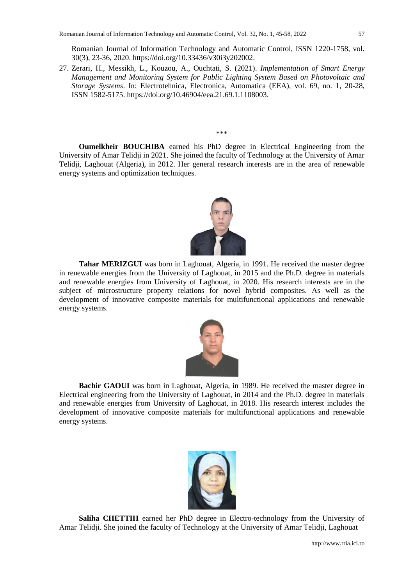Romanian Journal of Information Technology and Automatic Control, ISSN 1220-1758, vol. 30(3), 23-36, 2020. https://doi.org/10.33436/v30i3y202002.

27. Zerari, H., Messikh, L., Kouzou, A., Ouchtati, S. (2021). *Implementation of Smart Energy Management and Monitoring System for Public Lighting System Based on Photovoltaic and Storage Systems*. In: Electrotehnica, Electronica, Automatica (EEA), vol. 69, no. 1, 20-28, ISSN 1582-5175. https://doi.org/10.46904/eea.21.69.1.1108003.

\*\*\*

**Oumelkheir BOUCHIBA** earned his PhD degree in Electrical Engineering from the University of Amar Telidji in 2021. She joined the faculty of Technology at the University of Amar Telidji, Laghouat (Algeria), in 2012. Her general research interests are in the area of renewable energy systems and optimization techniques.



**Tahar MERIZGUI** was born in Laghouat, Algeria, in 1991. He received the master degree in renewable energies from the University of Laghouat, in 2015 and the Ph.D. degree in materials and renewable energies from University of Laghouat, in 2020. His research interests are in the subject of microstructure property relations for novel hybrid composites. As well as the development of innovative composite materials for multifunctional applications and renewable energy systems.



**Bachir GAOUI** was born in Laghouat, Algeria, in 1989. He received the master degree in Electrical engineering from the University of Laghouat, in 2014 and the Ph.D. degree in materials and renewable energies from University of Laghouat, in 2018. His research interest includes the development of innovative composite materials for multifunctional applications and renewable energy systems.



**Saliha CHETTIH** earned her PhD degree in Electro-technology from the University of Amar Telidji. She joined the faculty of Technology at the University of Amar Telidji, Laghouat